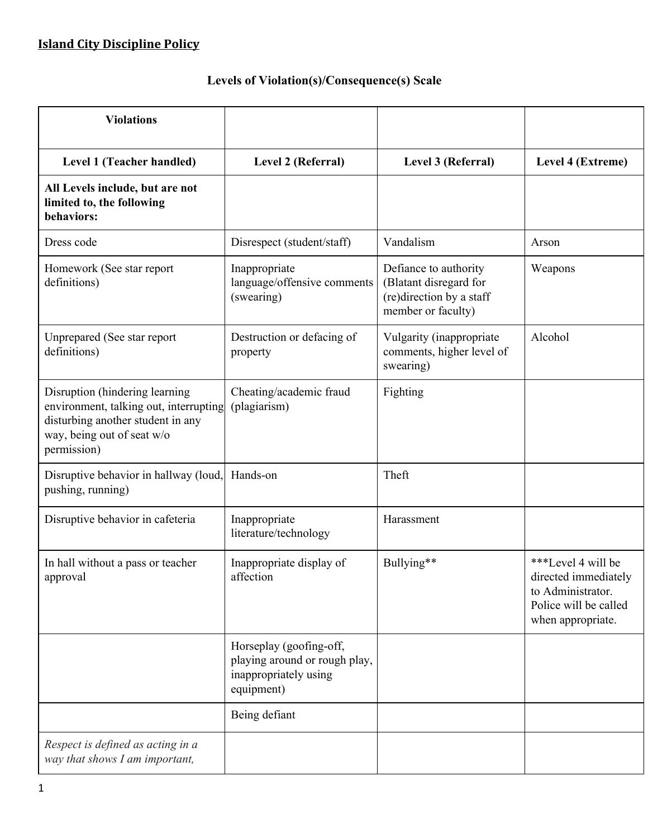# **Levels of Violation(s)/Consequence(s) Scale**

| <b>Violations</b>                                                                                                                                          |                                                                                                 |                                                                                                   |                                                                                                               |
|------------------------------------------------------------------------------------------------------------------------------------------------------------|-------------------------------------------------------------------------------------------------|---------------------------------------------------------------------------------------------------|---------------------------------------------------------------------------------------------------------------|
| Level 1 (Teacher handled)                                                                                                                                  | Level 2 (Referral)                                                                              | Level 3 (Referral)                                                                                | Level 4 (Extreme)                                                                                             |
| All Levels include, but are not<br>limited to, the following<br>behaviors:                                                                                 |                                                                                                 |                                                                                                   |                                                                                                               |
| Dress code                                                                                                                                                 | Disrespect (student/staff)                                                                      | Vandalism                                                                                         | Arson                                                                                                         |
| Homework (See star report<br>definitions)                                                                                                                  | Inappropriate<br>language/offensive comments<br>(swearing)                                      | Defiance to authority<br>(Blatant disregard for<br>(re)direction by a staff<br>member or faculty) | Weapons                                                                                                       |
| Unprepared (See star report<br>definitions)                                                                                                                | Destruction or defacing of<br>property                                                          | Vulgarity (inappropriate<br>comments, higher level of<br>swearing)                                | Alcohol                                                                                                       |
| Disruption (hindering learning<br>environment, talking out, interrupting<br>disturbing another student in any<br>way, being out of seat w/o<br>permission) | Cheating/academic fraud<br>(plagiarism)                                                         | Fighting                                                                                          |                                                                                                               |
| Disruptive behavior in hallway (loud,<br>pushing, running)                                                                                                 | Hands-on                                                                                        | Theft                                                                                             |                                                                                                               |
| Disruptive behavior in cafeteria                                                                                                                           | Inappropriate<br>literature/technology                                                          | Harassment                                                                                        |                                                                                                               |
| In hall without a pass or teacher<br>approval                                                                                                              | Inappropriate display of<br>affection                                                           | Bullying**                                                                                        | ***Level 4 will be<br>directed immediately<br>to Administrator.<br>Police will be called<br>when appropriate. |
|                                                                                                                                                            | Horseplay (goofing-off,<br>playing around or rough play,<br>inappropriately using<br>equipment) |                                                                                                   |                                                                                                               |
|                                                                                                                                                            | Being defiant                                                                                   |                                                                                                   |                                                                                                               |
| Respect is defined as acting in a<br>way that shows I am important,                                                                                        |                                                                                                 |                                                                                                   |                                                                                                               |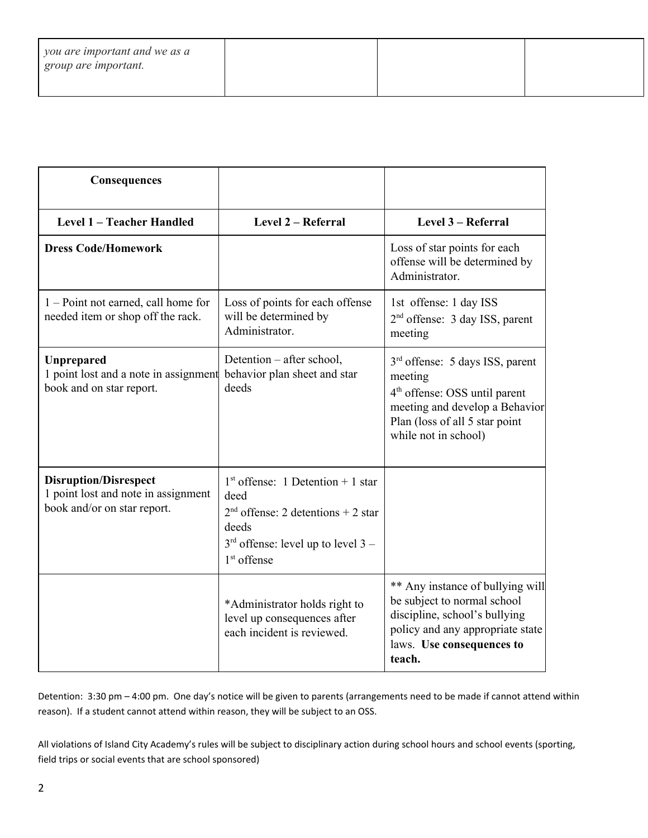| you are important and we as a<br>group are important. |  |  |
|-------------------------------------------------------|--|--|
|                                                       |  |  |

| Consequences                                                                                       |                                                                                                                                                       |                                                                                                                                                                                                 |
|----------------------------------------------------------------------------------------------------|-------------------------------------------------------------------------------------------------------------------------------------------------------|-------------------------------------------------------------------------------------------------------------------------------------------------------------------------------------------------|
| Level 1 - Teacher Handled                                                                          | Level 2 - Referral                                                                                                                                    | Level 3 - Referral                                                                                                                                                                              |
| <b>Dress Code/Homework</b>                                                                         |                                                                                                                                                       | Loss of star points for each<br>offense will be determined by<br>Administrator.                                                                                                                 |
| 1 - Point not earned, call home for<br>needed item or shop off the rack.                           | Loss of points for each offense<br>will be determined by<br>Administrator.                                                                            | 1st offense: 1 day ISS<br>$2nd$ offense: 3 day ISS, parent<br>meeting                                                                                                                           |
| Unprepared<br>1 point lost and a note in assignment<br>book and on star report.                    | Detention – after school,<br>behavior plan sheet and star<br>deeds                                                                                    | 3 <sup>rd</sup> offense: 5 days ISS, parent<br>meeting<br>4 <sup>th</sup> offense: OSS until parent<br>meeting and develop a Behavior<br>Plan (loss of all 5 star point<br>while not in school) |
| <b>Disruption/Disrespect</b><br>1 point lost and note in assignment<br>book and/or on star report. | $1st$ offense: 1 Detention + 1 star<br>deed<br>$2nd$ offense: 2 detentions + 2 star<br>deeds<br>$3rd$ offense: level up to level 3 –<br>$1st$ offense |                                                                                                                                                                                                 |
|                                                                                                    | *Administrator holds right to<br>level up consequences after<br>each incident is reviewed.                                                            | ** Any instance of bullying will<br>be subject to normal school<br>discipline, school's bullying<br>policy and any appropriate state<br>laws. Use consequences to<br>teach.                     |

Detention: 3:30 pm – 4:00 pm. One day's notice will be given to parents (arrangements need to be made if cannot attend within reason). If a student cannot attend within reason, they will be subject to an OSS.

All violations of Island City Academy's rules will be subject to disciplinary action during school hours and school events (sporting, field trips or social events that are school sponsored)